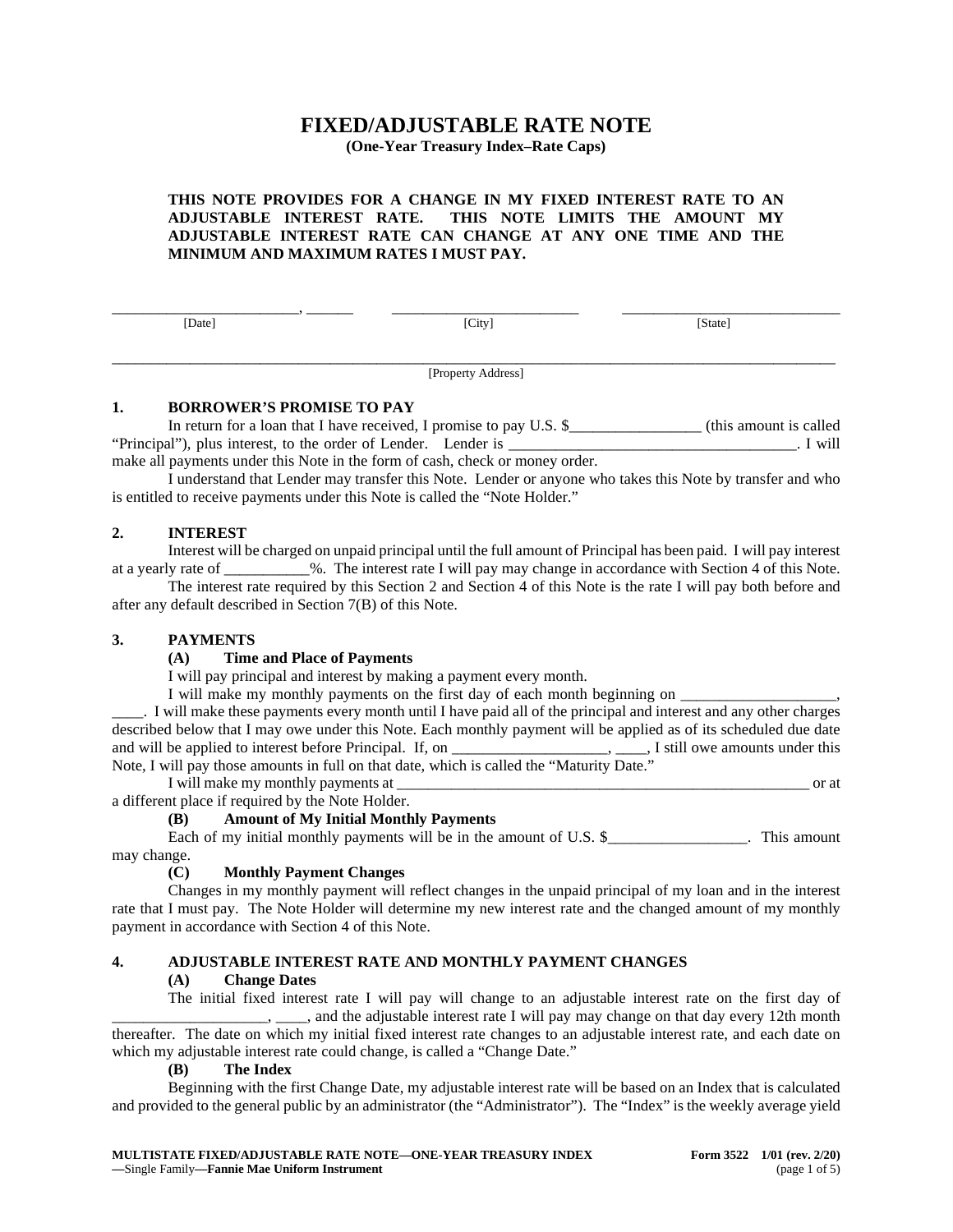# **FIXED/ADJUSTABLE RATE NOTE**

### **(One-Year Treasury Index–Rate Caps)**

### **THIS NOTE PROVIDES FOR A CHANGE IN MY FIXED INTEREST RATE TO AN ADJUSTABLE INTEREST RATE. THIS NOTE LIMITS THE AMOUNT MY ADJUSTABLE INTEREST RATE CAN CHANGE AT ANY ONE TIME AND THE MINIMUM AND MAXIMUM RATES I MUST PAY.**

 $\begin{array}{c}\n\hline\n-\hline\n\end{array}$   $\begin{array}{c}\n\hline\n\end{array}$   $\begin{array}{c}\n\hline\n\end{array}$   $\begin{array}{c}\n\hline\n\end{array}$   $\begin{array}{c}\n\hline\n\end{array}$   $\begin{array}{c}\n\hline\n\end{array}$   $\begin{array}{c}\n\hline\n\end{array}$   $\begin{array}{c}\n\hline\n\end{array}$   $\begin{array}{c}\n\hline\n\end{array}$   $\begin{array}{c}\n\hline\n\end{array}$   $\begin{array}{c}\n\hline\n\end{array$ 

\_\_\_\_\_\_\_\_\_\_\_\_\_\_\_\_\_\_\_\_\_\_\_\_\_\_\_\_\_\_\_\_\_\_\_\_\_\_\_\_\_\_\_\_\_\_\_\_\_\_\_\_\_\_\_\_\_\_\_\_\_\_\_\_\_\_\_\_\_\_\_\_\_\_\_\_\_\_\_\_\_\_\_\_\_\_\_\_\_\_\_\_\_ [Property Address]

#### **1. BORROWER'S PROMISE TO PAY**

In return for a loan that I have received, I promise to pay U.S. \$\_\_\_\_\_\_\_\_\_\_\_\_\_\_\_\_\_\_\_ (this amount is called "Principal"), plus interest, to the order of Lender. Lender is \_\_\_\_\_\_\_\_\_\_\_\_\_\_\_\_\_\_\_\_\_\_\_\_\_\_\_\_\_\_\_\_\_\_\_\_\_. I will

make all payments under this Note in the form of cash, check or money order.

I understand that Lender may transfer this Note. Lender or anyone who takes this Note by transfer and who is entitled to receive payments under this Note is called the "Note Holder."

## **2. INTEREST**

Interest will be charged on unpaid principal until the full amount of Principal has been paid. I will pay interest at a yearly rate of \_\_\_\_\_\_\_\_\_\_\_%. The interest rate I will pay may change in accordance with Section 4 of this Note.

The interest rate required by this Section 2 and Section 4 of this Note is the rate I will pay both before and after any default described in Section 7(B) of this Note.

### **3. PAYMENTS**

#### **(A) Time and Place of Payments**

I will pay principal and interest by making a payment every month.

I will make my monthly payments on the first day of each month beginning on \_\_\_\_. I will make these payments every month until I have paid all of the principal and interest and any other charges described below that I may owe under this Note. Each monthly payment will be applied as of its scheduled due date and will be applied to interest before Principal. If, on \_\_\_\_\_\_\_\_\_\_\_\_\_\_\_\_\_\_\_\_\_, \_\_\_\_, I still owe amounts under this

Note, I will pay those amounts in full on that date, which is called the "Maturity Date." I will make my monthly payments at  $\overline{a}$ 

a different place if required by the Note Holder.

### **(B) Amount of My Initial Monthly Payments**

Each of my initial monthly payments will be in the amount of U.S.  $\$  This amount may change.<br> $(C)$ 

### **(C) Monthly Payment Changes**

Changes in my monthly payment will reflect changes in the unpaid principal of my loan and in the interest rate that I must pay. The Note Holder will determine my new interest rate and the changed amount of my monthly payment in accordance with Section 4 of this Note.

### **4. ADJUSTABLE INTEREST RATE AND MONTHLY PAYMENT CHANGES**

### **(A) Change Dates**

The initial fixed interest rate I will pay will change to an adjustable interest rate on the first day of \_\_\_\_\_\_\_\_\_\_, and the adjustable interest rate I will pay may change on that day every 12th month thereafter. The date on which my initial fixed interest rate changes to an adjustable interest rate, and each date on which my adjustable interest rate could change, is called a "Change Date."<br> **(B)** The Index

#### **(B) The Index**

Beginning with the first Change Date, my adjustable interest rate will be based on an Index that is calculated and provided to the general public by an administrator (the "Administrator"). The "Index" is the weekly average yield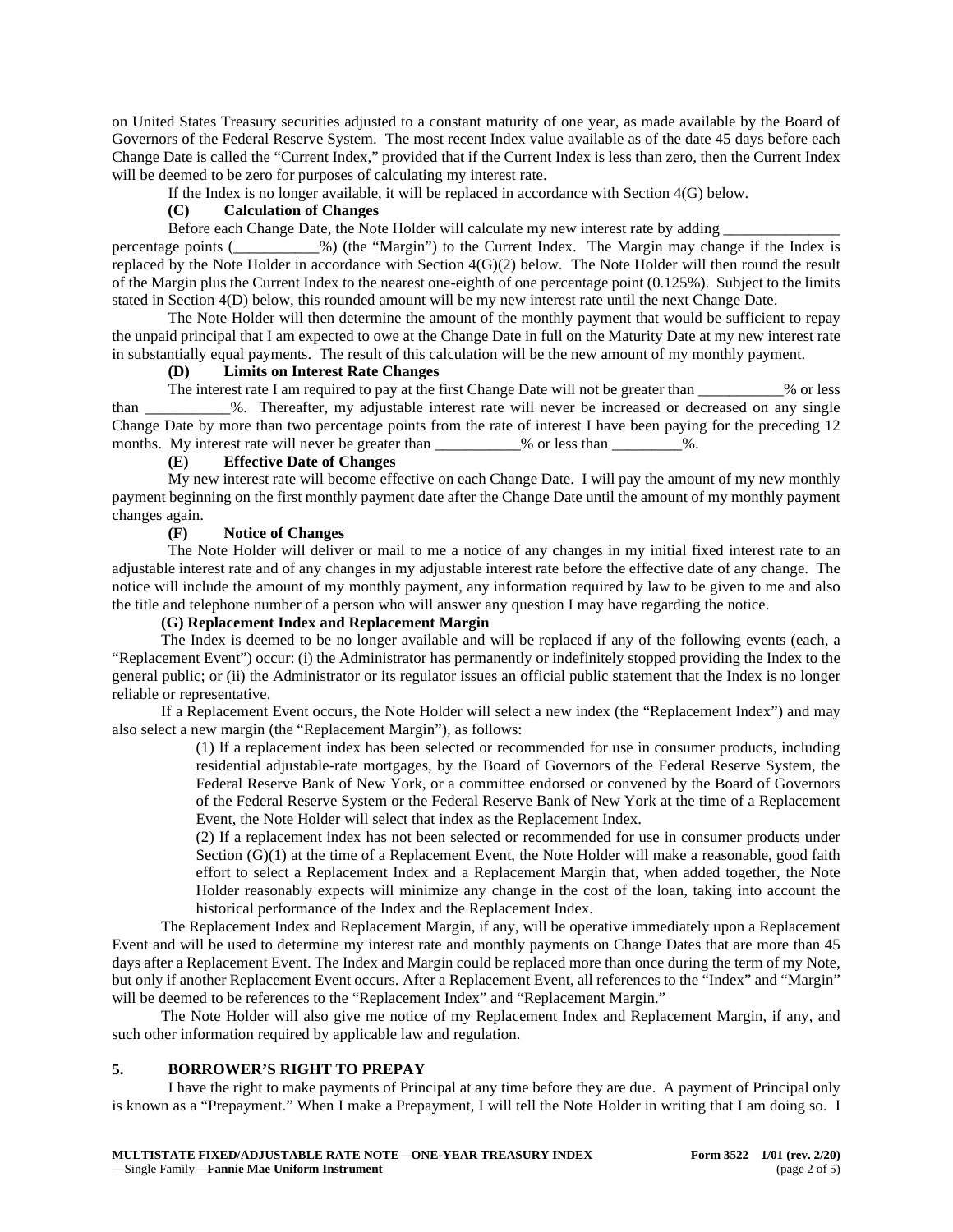on United States Treasury securities adjusted to a constant maturity of one year, as made available by the Board of Governors of the Federal Reserve System. The most recent Index value available as of the date 45 days before each Change Date is called the "Current Index," provided that if the Current Index is less than zero, then the Current Index will be deemed to be zero for purposes of calculating my interest rate.

If the Index is no longer available, it will be replaced in accordance with Section 4(G) below.

## **(C) Calculation of Changes**

Before each Change Date, the Note Holder will calculate my new interest rate by adding percentage points (\_\_\_\_\_\_\_\_\_\_\_%) (the "Margin") to the Current Index. The Margin may change if the Index is replaced by the Note Holder in accordance with Section 4(G)(2) below. The Note Holder will then round the result of the Margin plus the Current Index to the nearest one-eighth of one percentage point (0.125%). Subject to the limits stated in Section 4(D) below, this rounded amount will be my new interest rate until the next Change Date.

The Note Holder will then determine the amount of the monthly payment that would be sufficient to repay the unpaid principal that I am expected to owe at the Change Date in full on the Maturity Date at my new interest rate in substantially equal payments. The result of this calculation will be the new amount of my monthly payment.

### **(D) Limits on Interest Rate Changes**

The interest rate I am required to pay at the first Change Date will not be greater than  $\%$  or less than \_\_\_\_\_\_\_\_\_\_\_%. Thereafter, my adjustable interest rate will never be increased or decreased on any single Change Date by more than two percentage points from the rate of interest I have been paying for the preceding 12 months. My interest rate will never be greater than \_\_\_\_\_\_\_\_\_% or less than \_\_\_\_\_\_\_\_%.<br>(E) Effective Date of Changes

## **Effective Date of Changes**

My new interest rate will become effective on each Change Date. I will pay the amount of my new monthly payment beginning on the first monthly payment date after the Change Date until the amount of my monthly payment changes again.

## **(F) Notice of Changes**

The Note Holder will deliver or mail to me a notice of any changes in my initial fixed interest rate to an adjustable interest rate and of any changes in my adjustable interest rate before the effective date of any change. The notice will include the amount of my monthly payment, any information required by law to be given to me and also the title and telephone number of a person who will answer any question I may have regarding the notice.

### **(G) Replacement Index and Replacement Margin**

The Index is deemed to be no longer available and will be replaced if any of the following events (each, a "Replacement Event") occur: (i) the Administrator has permanently or indefinitely stopped providing the Index to the general public; or (ii) the Administrator or its regulator issues an official public statement that the Index is no longer reliable or representative.

If a Replacement Event occurs, the Note Holder will select a new index (the "Replacement Index") and may also select a new margin (the "Replacement Margin"), as follows:

> (1) If a replacement index has been selected or recommended for use in consumer products, including residential adjustable-rate mortgages, by the Board of Governors of the Federal Reserve System, the Federal Reserve Bank of New York, or a committee endorsed or convened by the Board of Governors of the Federal Reserve System or the Federal Reserve Bank of New York at the time of a Replacement Event, the Note Holder will select that index as the Replacement Index.

> (2) If a replacement index has not been selected or recommended for use in consumer products under Section (G)(1) at the time of a Replacement Event, the Note Holder will make a reasonable, good faith effort to select a Replacement Index and a Replacement Margin that, when added together, the Note Holder reasonably expects will minimize any change in the cost of the loan, taking into account the historical performance of the Index and the Replacement Index.

The Replacement Index and Replacement Margin, if any, will be operative immediately upon a Replacement Event and will be used to determine my interest rate and monthly payments on Change Dates that are more than 45 days after a Replacement Event. The Index and Margin could be replaced more than once during the term of my Note, but only if another Replacement Event occurs. After a Replacement Event, all references to the "Index" and "Margin" will be deemed to be references to the "Replacement Index" and "Replacement Margin."

The Note Holder will also give me notice of my Replacement Index and Replacement Margin, if any, and such other information required by applicable law and regulation.

## **5. BORROWER'S RIGHT TO PREPAY**

I have the right to make payments of Principal at any time before they are due. A payment of Principal only is known as a "Prepayment." When I make a Prepayment, I will tell the Note Holder in writing that I am doing so. I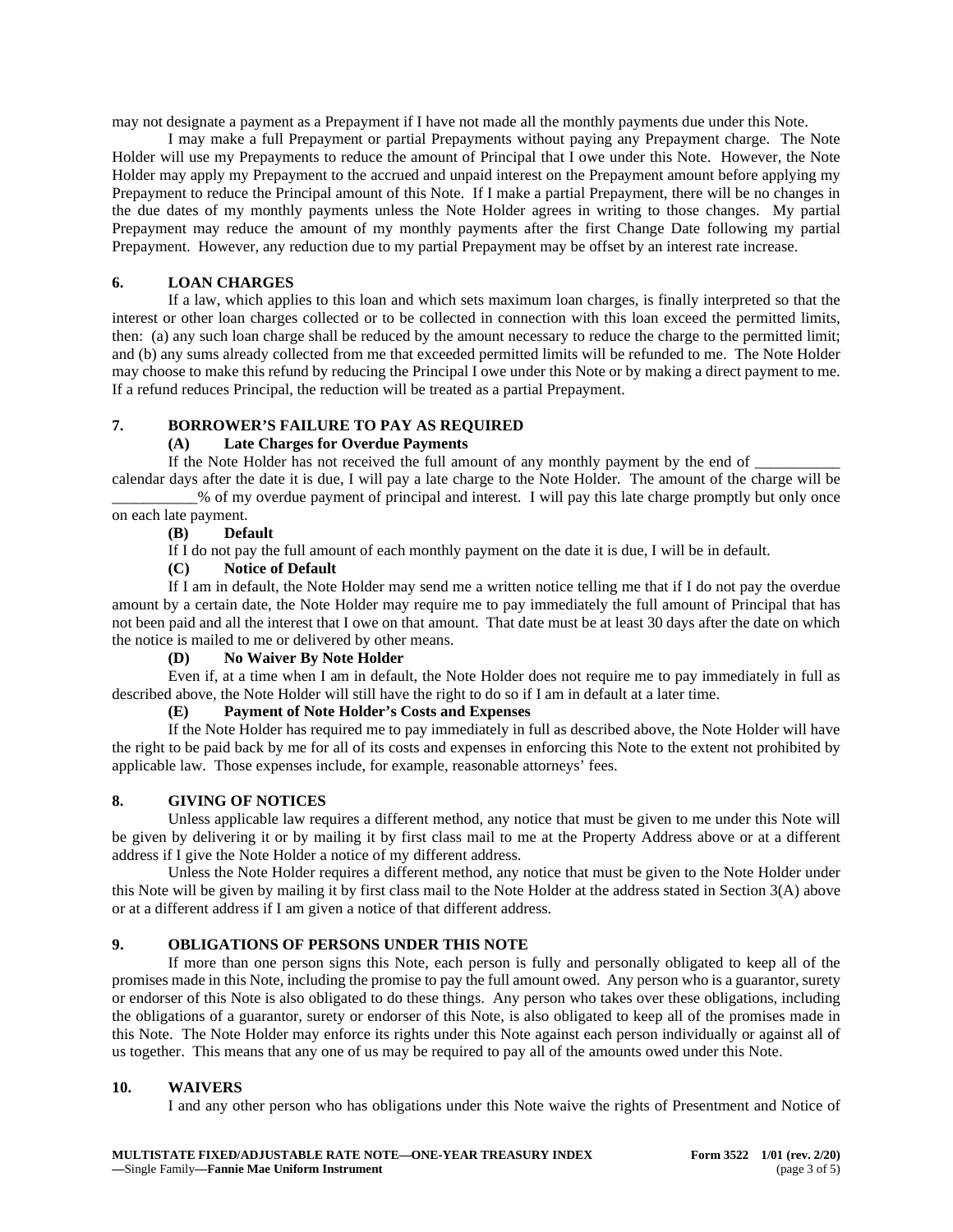may not designate a payment as a Prepayment if I have not made all the monthly payments due under this Note.

I may make a full Prepayment or partial Prepayments without paying any Prepayment charge. The Note Holder will use my Prepayments to reduce the amount of Principal that I owe under this Note. However, the Note Holder may apply my Prepayment to the accrued and unpaid interest on the Prepayment amount before applying my Prepayment to reduce the Principal amount of this Note. If I make a partial Prepayment, there will be no changes in the due dates of my monthly payments unless the Note Holder agrees in writing to those changes. My partial Prepayment may reduce the amount of my monthly payments after the first Change Date following my partial Prepayment. However, any reduction due to my partial Prepayment may be offset by an interest rate increase.

## **6. LOAN CHARGES**

If a law, which applies to this loan and which sets maximum loan charges, is finally interpreted so that the interest or other loan charges collected or to be collected in connection with this loan exceed the permitted limits, then: (a) any such loan charge shall be reduced by the amount necessary to reduce the charge to the permitted limit; and (b) any sums already collected from me that exceeded permitted limits will be refunded to me. The Note Holder may choose to make this refund by reducing the Principal I owe under this Note or by making a direct payment to me. If a refund reduces Principal, the reduction will be treated as a partial Prepayment.

### **7. BORROWER'S FAILURE TO PAY AS REQUIRED**

#### **(A) Late Charges for Overdue Payments**

If the Note Holder has not received the full amount of any monthly payment by the end of \_\_\_\_\_\_\_\_\_\_\_

calendar days after the date it is due, I will pay a late charge to the Note Holder. The amount of the charge will be \_\_\_\_\_\_\_\_\_\_\_% of my overdue payment of principal and interest. I will pay this late charge promptly but only once on each late payment.

## **(B) Default**

If I do not pay the full amount of each monthly payment on the date it is due, I will be in default.

#### **(C) Notice of Default**

If I am in default, the Note Holder may send me a written notice telling me that if I do not pay the overdue amount by a certain date, the Note Holder may require me to pay immediately the full amount of Principal that has not been paid and all the interest that I owe on that amount. That date must be at least 30 days after the date on which the notice is mailed to me or delivered by other means.

#### **(D) No Waiver By Note Holder**

Even if, at a time when I am in default, the Note Holder does not require me to pay immediately in full as described above, the Note Holder will still have the right to do so if I am in default at a later time.

## **(E) Payment of Note Holder's Costs and Expenses**

If the Note Holder has required me to pay immediately in full as described above, the Note Holder will have the right to be paid back by me for all of its costs and expenses in enforcing this Note to the extent not prohibited by applicable law. Those expenses include, for example, reasonable attorneys' fees.

### **8. GIVING OF NOTICES**

Unless applicable law requires a different method, any notice that must be given to me under this Note will be given by delivering it or by mailing it by first class mail to me at the Property Address above or at a different address if I give the Note Holder a notice of my different address.

Unless the Note Holder requires a different method, any notice that must be given to the Note Holder under this Note will be given by mailing it by first class mail to the Note Holder at the address stated in Section 3(A) above or at a different address if I am given a notice of that different address.

### **9. OBLIGATIONS OF PERSONS UNDER THIS NOTE**

If more than one person signs this Note, each person is fully and personally obligated to keep all of the promises made in this Note, including the promise to pay the full amount owed. Any person who is a guarantor, surety or endorser of this Note is also obligated to do these things. Any person who takes over these obligations, including the obligations of a guarantor, surety or endorser of this Note, is also obligated to keep all of the promises made in this Note. The Note Holder may enforce its rights under this Note against each person individually or against all of us together. This means that any one of us may be required to pay all of the amounts owed under this Note.

#### **10. WAIVERS**

I and any other person who has obligations under this Note waive the rights of Presentment and Notice of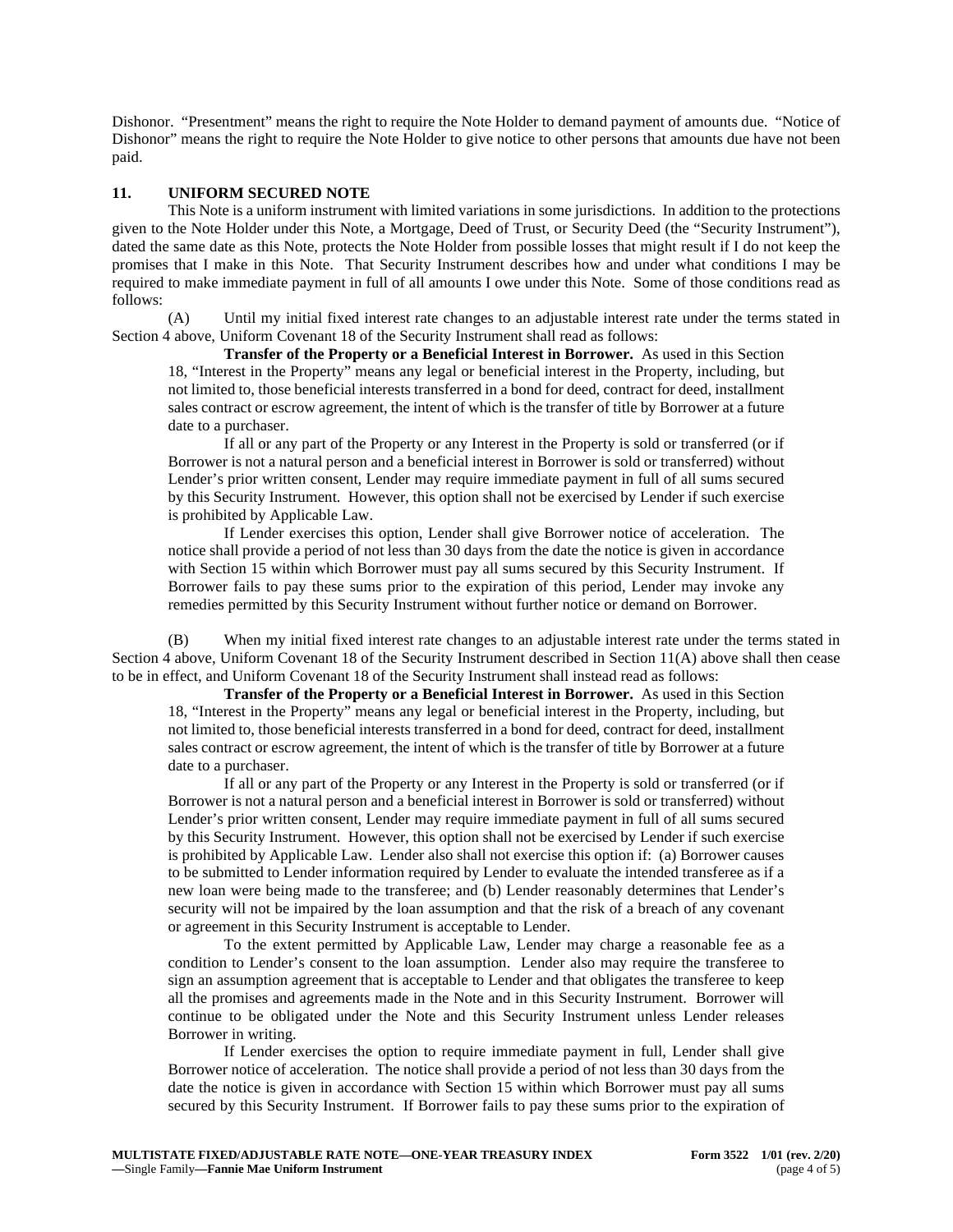Dishonor. "Presentment" means the right to require the Note Holder to demand payment of amounts due. "Notice of Dishonor" means the right to require the Note Holder to give notice to other persons that amounts due have not been paid.

#### **11. UNIFORM SECURED NOTE**

This Note is a uniform instrument with limited variations in some jurisdictions. In addition to the protections given to the Note Holder under this Note, a Mortgage, Deed of Trust, or Security Deed (the "Security Instrument"), dated the same date as this Note, protects the Note Holder from possible losses that might result if I do not keep the promises that I make in this Note. That Security Instrument describes how and under what conditions I may be required to make immediate payment in full of all amounts I owe under this Note. Some of those conditions read as follows:

(A) Until my initial fixed interest rate changes to an adjustable interest rate under the terms stated in Section 4 above, Uniform Covenant 18 of the Security Instrument shall read as follows:

**Transfer of the Property or a Beneficial Interest in Borrower.** As used in this Section 18, "Interest in the Property" means any legal or beneficial interest in the Property, including, but not limited to, those beneficial interests transferred in a bond for deed, contract for deed, installment sales contract or escrow agreement, the intent of which is the transfer of title by Borrower at a future date to a purchaser.

If all or any part of the Property or any Interest in the Property is sold or transferred (or if Borrower is not a natural person and a beneficial interest in Borrower is sold or transferred) without Lender's prior written consent, Lender may require immediate payment in full of all sums secured by this Security Instrument. However, this option shall not be exercised by Lender if such exercise is prohibited by Applicable Law.

If Lender exercises this option, Lender shall give Borrower notice of acceleration. The notice shall provide a period of not less than 30 days from the date the notice is given in accordance with Section 15 within which Borrower must pay all sums secured by this Security Instrument. If Borrower fails to pay these sums prior to the expiration of this period, Lender may invoke any remedies permitted by this Security Instrument without further notice or demand on Borrower.

(B) When my initial fixed interest rate changes to an adjustable interest rate under the terms stated in Section 4 above, Uniform Covenant 18 of the Security Instrument described in Section 11(A) above shall then cease to be in effect, and Uniform Covenant 18 of the Security Instrument shall instead read as follows:

**Transfer of the Property or a Beneficial Interest in Borrower.** As used in this Section 18, "Interest in the Property" means any legal or beneficial interest in the Property, including, but not limited to, those beneficial interests transferred in a bond for deed, contract for deed, installment sales contract or escrow agreement, the intent of which is the transfer of title by Borrower at a future date to a purchaser.

If all or any part of the Property or any Interest in the Property is sold or transferred (or if Borrower is not a natural person and a beneficial interest in Borrower is sold or transferred) without Lender's prior written consent, Lender may require immediate payment in full of all sums secured by this Security Instrument. However, this option shall not be exercised by Lender if such exercise is prohibited by Applicable Law. Lender also shall not exercise this option if: (a) Borrower causes to be submitted to Lender information required by Lender to evaluate the intended transferee as if a new loan were being made to the transferee; and (b) Lender reasonably determines that Lender's security will not be impaired by the loan assumption and that the risk of a breach of any covenant or agreement in this Security Instrument is acceptable to Lender.

To the extent permitted by Applicable Law, Lender may charge a reasonable fee as a condition to Lender's consent to the loan assumption. Lender also may require the transferee to sign an assumption agreement that is acceptable to Lender and that obligates the transferee to keep all the promises and agreements made in the Note and in this Security Instrument. Borrower will continue to be obligated under the Note and this Security Instrument unless Lender releases Borrower in writing.

If Lender exercises the option to require immediate payment in full, Lender shall give Borrower notice of acceleration. The notice shall provide a period of not less than 30 days from the date the notice is given in accordance with Section 15 within which Borrower must pay all sums secured by this Security Instrument. If Borrower fails to pay these sums prior to the expiration of